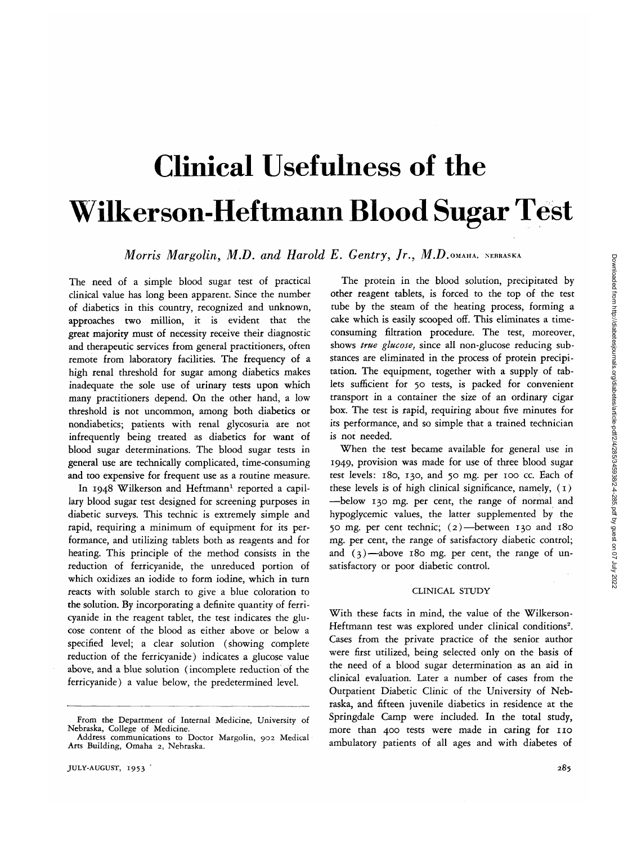# Clinical Usefulness of the Wilkerson-Heftmann Blood Sugar Test

*Morris Margolin, M.D. and Harold E. Gentry, Jr., M.D.* OMAHA, NEBRASKA

The need of a simple blood sugar test of practical clinical value has long been apparent. Since the number of diabetics in this country, recognized and unknown, approaches two million, it is evident that the great majority must of necessity receive their diagnostic and therapeutic services from general practitioners, often remote from laboratory facilities. The frequency of a high renal threshold for sugar among diabetics makes inadequate the sole use of urinary tests upon which many practitioners depend. On the other hand, a low threshold is not uncommon, among both diabetics or nondiabetics; patients with renal glycosuria are not infrequently being treated as diabetics for want of blood sugar determinations. The blood sugar tests in general use are technically complicated, time-consuming and too expensive for frequent use as a routine measure.

In 1948 Wilkerson and Heftmann<sup>1</sup> reported a capillary blood sugar test designed for screening purposes in diabetic surveys. This technic is extremely simple and rapid, requiring a minimum of equipment for its performance, and utilizing tablets both as reagents and for heating. This principle of the method consists in the reduction of ferricyanide, the unreduced portion of which oxidizes an iodide to form iodine, which in turn reacts with soluble starch to give a blue coloration to the solution. By incorporating a definite quantity of ferricyanide in the reagent tablet, the test indicates the glucose content of the blood as either above or below a specified level; a clear solution (showing complete reduction of the ferricyanide) indicates a glucose value above, and a blue solution (incomplete reduction of the ferricyanide) a value below, the predetermined level.

The protein in the blood solution, precipitated by other reagent tablets, is forced to the top of the test tube by the steam of the heating process, forming a cake which is easily scooped off. This eliminates a timeconsuming filtration procedure. The test, moreover, shows *true glucose,* since all non-glucose reducing substances are eliminated in the process of protein precipitation. The equipment, together with a supply of tablets sufficient for 50 tests, is packed for convenient transport in a container the size of an ordinary cigar box. The test is rapid, requiring about five minutes for its performance, and so simple that a trained technician is not needed.

When the test became available for general use in 1949, provision was made for use of three blood sugar *test* levels: 180, 130, and 50 mg. per 100 *cc.* Each of these levels is of high clinical significance, namely, (1) —below 130 mg. per cent, the range of normal and hypoglycemic values, the latter supplemented by the 50 mg. per cent technic; (2)—between 130 and 180 *mg.* per cent, the range of satisfactory diabetic control; and  $(3)$ —above 180 mg, per cent, the range of unsatisfactory or poor diabetic control.

### CLINICAL STUDY

With these facts in mind, the value of the Wilkerson-Heftmann test was explored under clinical conditions<sup>2</sup>. Cases from the private practice of the senior author were first utilized, being selected only on the basis of the need of a blood sugar determination as an aid in clinical evaluation. Later a number of cases from the Outpatient Diabetic Clinic of the University of Nebraska, and fifteen juvenile diabetics in residence at the Springdale Camp were included. In the total study, more than 400 tests were made in caring for 110 ambulatory patients of all ages and with diabetes of

From the Department of Internal Medicine, University of

Nebraska, College of Medicine. Address communications to Doctor Margolin, 902 Medical Arts Building, Omaha 2, Nebraska.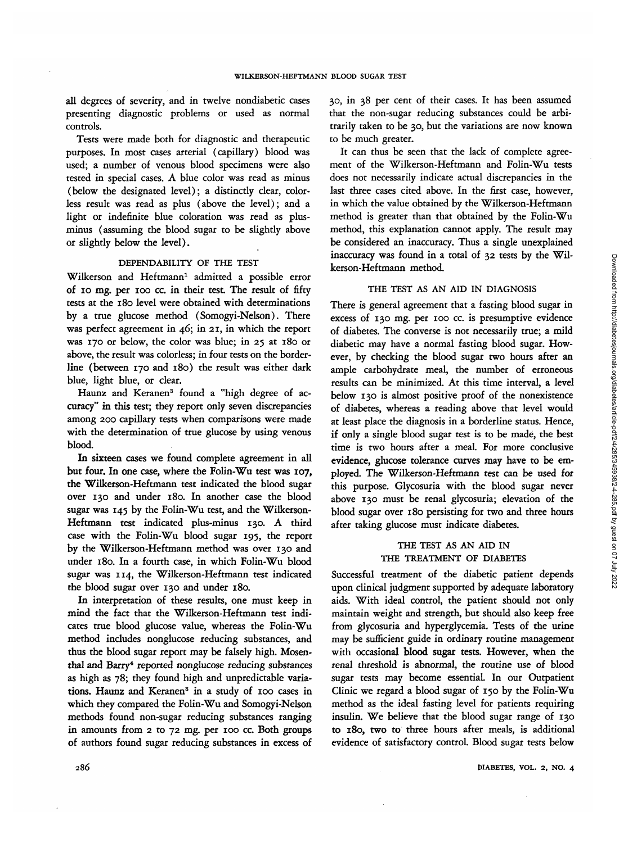all degrees of severity, and in twelve nondiabetic cases presenting diagnostic problems or used as normal controls.

Tests were made both for diagnostic and therapeutic purposes. In most cases arterial (capillary) blood was used; a number of venous blood specimens were also tested in special cases. A blue color was read as minus (below the designated level); a distinctly clear, colorless result was read as plus (above the level); and a light or indefinite blue coloration was read as plusminus (assuming the blood sugar to be slightly above or slightly below the level).

#### DEPENDABILITY OF THE TEST

Wilkerson and Heftmann<sup>1</sup> admitted a possible error of 10 mg. per ioo cc. in their test. The result of fifty tests at the 180 level were obtained with determinations by a true glucose method (Somogyi-Nelson). There was perfect agreement in 46; in 21, in which the report was 170 or below, the color was blue; in 25 at 180 or above, the result was colorless; in four tests on the borderline (between 170 and 180) the result was either dark blue, light blue, or clear.

Haunz and Keranen<sup>3</sup> found a "high degree of accuracy" in this test; they report only seven discrepancies among 200 capillary tests when comparisons were made with the determination of true glucose by using venous blood.

In sixteen cases we found complete agreement in all but four. In one case, where the Folin-Wu test was 107, the Wilkerson-Heftmann test indicated the blood sugar over 130 and under 180. In another case the blood sugar was 145 by the Folin-Wu test, and the Wilkerson-Heftmann test indicated plus-minus 130. A third case with the Folin-Wu blood sugar 195, the report by the Wilkerson-Heftmann method was over 130 and under 180. In a fourth case, in which Folin-Wu blood sugar was 114, the Wilkerson-Heftmann test indicated the blood sugar over 130 and under 180.

In interpretation of these results, one must keep in mind the fact that the Wilkerson-Heftmann test indicates true blood glucose value, whereas the Folin-Wu method includes nonglucose reducing substances, and thus the blood sugar report may be falsely high. Mosenthal and Barry<sup>4</sup> reported nonglucose reducing substances as high as 78; they found high and unpredictable variations. Haunz and Keranen<sup>3</sup> in a study of 100 cases in which they compared the Folin-Wu and Somogyi-Nelson methods found non-sugar reducing substances ranging in amounts from 2 to 72 mg. per 100 cc Both groups of authors found sugar reducing substances in excess of 30, in 38 per cent of their cases. It has been assumed that the non-sugar reducing substances could be arbitrarily taken to be 30, but the variations are now known to be much greater.

It can thus be seen that the lack of complete agreement of the Wilkerson-Heftmann and Folin-Wu tests does not necessarily indicate actual discrepancies in the last three cases cited above. In the first case, however, in which the value obtained by the Wilkerson-Heftmann method is greater than that obtained by the Folin-Wu method, this explanation cannot apply. The result may be considered an inaccuracy. Thus a single unexplained inaccuracy was found in a total of 32 tests by the Wilkerson-Heftmann method.

### THE TEST AS AN AID IN DIAGNOSIS

There is general agreement that a fasting blood sugar in excess of 130 mg. per 100 *cc.* is presumptive evidence of diabetes. The converse is not necessarily true; a mild diabetic may have a normal fasting blood sugar. However, by checking the blood sugar two hours after an ample carbohydrate meal, the number of erroneous results can be minimized. At this time interval, a level below 130 is almost positive proof of the nonexistence of diabetes, whereas a reading above that level would at least place the diagnosis in a borderline status. Hence, if only a single blood sugar test is to be made, the best time is two hours after a meal. For more conclusive evidence, glucose tolerance curves may have to be employed. The Wilkerson-Heftmann test can be used for this purpose. Glycosuria with the blood sugar never above 130 must be renal glycosuria; elevation of the blood sugar over 180 persisting for two and three hours after taking glucose must indicate diabetes.

## THE TEST AS AN AID IN THE TREATMENT OF DIABETES

Successful treatment of the diabetic patient depends upon clinical judgment supported by adequate laboratory aids. With ideal control, the patient should not only maintain weight and strength, but should also keep free from glycosuria and hyperglycemia. Tests of the urine may be sufficient guide in ordinary routine management with occasional blood sugar tests. However, when the renal threshold is abnormal, the routine use of blood sugar tests may become essential. In our Outpatient Clinic we regard a blood sugar of 150 by the Folin-Wu method as the ideal fasting level for patients requiring insulin. We believe that the blood sugar range of 130 to 180, two to three hours after meals, is additional evidence of satisfactory control. Blood sugar tests below